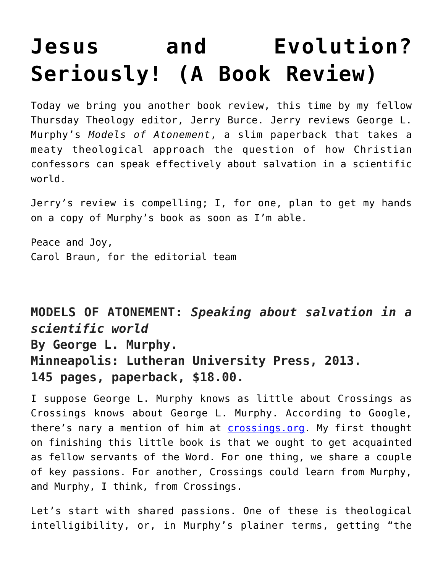## **[Jesus and Evolution?](https://crossings.org/jesus-and-evolution-seriously-a-book-review/) [Seriously! \(A Book Review\)](https://crossings.org/jesus-and-evolution-seriously-a-book-review/)**

Today we bring you another book review, this time by my fellow Thursday Theology editor, Jerry Burce. Jerry reviews George L. Murphy's *Models of Atonement*, a slim paperback that takes a meaty theological approach the question of how Christian confessors can speak effectively about salvation in a scientific world.

Jerry's review is compelling; I, for one, plan to get my hands on a copy of Murphy's book as soon as I'm able.

Peace and Joy, Carol Braun, for the editorial team

**MODELS OF ATONEMENT:** *Speaking about salvation in a scientific world* **By George L. Murphy. Minneapolis: Lutheran University Press, 2013. 145 pages, paperback, \$18.00.**

I suppose George L. Murphy knows as little about Crossings as Crossings knows about George L. Murphy. According to Google, there's nary a mention of him at **[crossings.org](https://crossings.org/)**. My first thought on finishing this little book is that we ought to get acquainted as fellow servants of the Word. For one thing, we share a couple of key passions. For another, Crossings could learn from Murphy, and Murphy, I think, from Crossings.

Let's start with shared passions. One of these is theological intelligibility, or, in Murphy's plainer terms, getting "the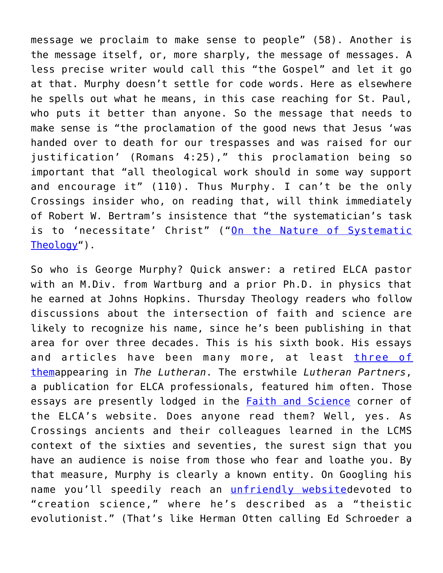message we proclaim to make sense to people" (58). Another is the message itself, or, more sharply, the message of messages. A less precise writer would call this "the Gospel" and let it go at that. Murphy doesn't settle for code words. Here as elsewhere he spells out what he means, in this case reaching for St. Paul, who puts it better than anyone. So the message that needs to make sense is "the proclamation of the good news that Jesus 'was handed over to death for our trespasses and was raised for our justification' (Romans 4:25)," this proclamation being so important that "all theological work should in some way support and encourage it" (110). Thus Murphy. I can't be the only Crossings insider who, on reading that, will think immediately of Robert W. Bertram's insistence that "the systematician's task is to 'necessitate' Christ" ("[On the Nature of Systematic](https://crossings.org/archive/bob/SystematicTheology.pdf) [Theology"](https://crossings.org/archive/bob/SystematicTheology.pdf)).

So who is George Murphy? Quick answer: a retired ELCA pastor with an M.Div. from Wartburg and a prior Ph.D. in physics that he earned at Johns Hopkins. Thursday Theology readers who follow discussions about the intersection of faith and science are likely to recognize his name, since he's been publishing in that area for over three decades. This is his sixth book. His essays and articles have been many more, at least [three of](http://www.thelutheran.org/about/person_detail.cfm?person_id=39) [thema](http://www.thelutheran.org/about/person_detail.cfm?person_id=39)ppearing in *The Lutheran*. The erstwhile *Lutheran Partners*, a publication for ELCA professionals, featured him often. Those essays are presently lodged in the **Faith and Science** corner of the ELCA's website. Does anyone read them? Well, yes. As Crossings ancients and their colleagues learned in the LCMS context of the sixties and seventies, the surest sign that you have an audience is noise from those who fear and loathe you. By that measure, Murphy is clearly a known entity. On Googling his name you'll speedily reach an [unfriendly websited](http://creationwiki.org/George_L_Murphy)evoted to "creation science," where he's described as a "theistic evolutionist." (That's like Herman Otten calling Ed Schroeder a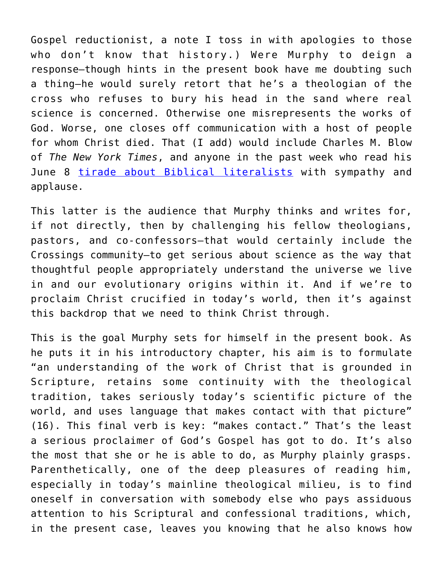Gospel reductionist, a note I toss in with apologies to those who don't know that history.) Were Murphy to deign a response—though hints in the present book have me doubting such a thing—he would surely retort that he's a theologian of the cross who refuses to bury his head in the sand where real science is concerned. Otherwise one misrepresents the works of God. Worse, one closes off communication with a host of people for whom Christ died. That (I add) would include Charles M. Blow of *The New York Times*, and anyone in the past week who read his June 8 [tirade about Biblical literalists](http://www.nytimes.com/2014/06/09/opinion/blow-religious-constriction.html?partner=rssnyt&emc=rss&_r=0) with sympathy and applause.

This latter is the audience that Murphy thinks and writes for, if not directly, then by challenging his fellow theologians, pastors, and co-confessors—that would certainly include the Crossings community—to get serious about science as the way that thoughtful people appropriately understand the universe we live in and our evolutionary origins within it. And if we're to proclaim Christ crucified in today's world, then it's against this backdrop that we need to think Christ through.

This is the goal Murphy sets for himself in the present book. As he puts it in his introductory chapter, his aim is to formulate "an understanding of the work of Christ that is grounded in Scripture, retains some continuity with the theological tradition, takes seriously today's scientific picture of the world, and uses language that makes contact with that picture" (16). This final verb is key: "makes contact." That's the least a serious proclaimer of God's Gospel has got to do. It's also the most that she or he is able to do, as Murphy plainly grasps. Parenthetically, one of the deep pleasures of reading him, especially in today's mainline theological milieu, is to find oneself in conversation with somebody else who pays assiduous attention to his Scriptural and confessional traditions, which, in the present case, leaves you knowing that he also knows how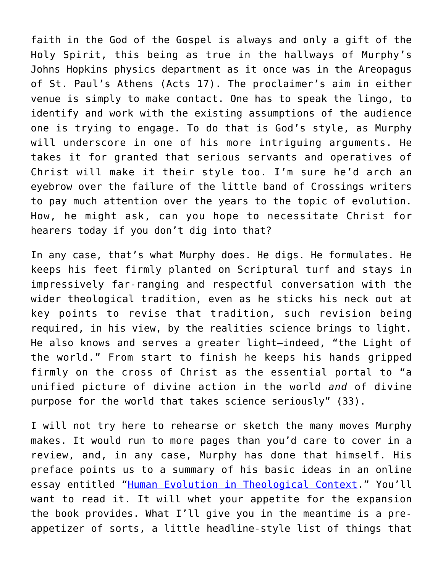faith in the God of the Gospel is always and only a gift of the Holy Spirit, this being as true in the hallways of Murphy's Johns Hopkins physics department as it once was in the Areopagus of St. Paul's Athens (Acts 17). The proclaimer's aim in either venue is simply to make contact. One has to speak the lingo, to identify and work with the existing assumptions of the audience one is trying to engage. To do that is God's style, as Murphy will underscore in one of his more intriguing arguments. He takes it for granted that serious servants and operatives of Christ will make it their style too. I'm sure he'd arch an eyebrow over the failure of the little band of Crossings writers to pay much attention over the years to the topic of evolution. How, he might ask, can you hope to necessitate Christ for hearers today if you don't dig into that?

In any case, that's what Murphy does. He digs. He formulates. He keeps his feet firmly planted on Scriptural turf and stays in impressively far-ranging and respectful conversation with the wider theological tradition, even as he sticks his neck out at key points to revise that tradition, such revision being required, in his view, by the realities science brings to light. He also knows and serves a greater light—indeed, "the Light of the world." From start to finish he keeps his hands gripped firmly on the cross of Christ as the essential portal to "a unified picture of divine action in the world *and* of divine purpose for the world that takes science seriously" (33).

I will not try here to rehearse or sketch the many moves Murphy makes. It would run to more pages than you'd care to cover in a review, and, in any case, Murphy has done that himself. His preface points us to a summary of his basic ideas in an online essay entitled "[Human Evolution in Theological Context](http://biologos.org/uploads/projects/murphy_scholarly_essay.pdf)." You'll want to read it. It will whet your appetite for the expansion the book provides. What I'll give you in the meantime is a preappetizer of sorts, a little headline-style list of things that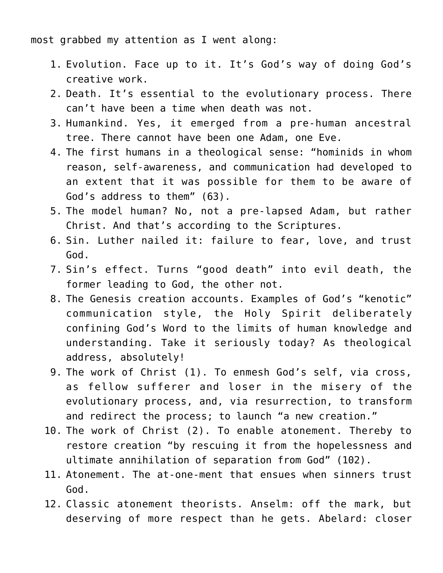most grabbed my attention as I went along:

- 1. Evolution. Face up to it. It's God's way of doing God's creative work.
- 2. Death. It's essential to the evolutionary process. There can't have been a time when death was not.
- 3. Humankind. Yes, it emerged from a pre-human ancestral tree. There cannot have been one Adam, one Eve.
- 4. The first humans in a theological sense: "hominids in whom reason, self-awareness, and communication had developed to an extent that it was possible for them to be aware of God's address to them" (63).
- 5. The model human? No, not a pre-lapsed Adam, but rather Christ. And that's according to the Scriptures.
- 6. Sin. Luther nailed it: failure to fear, love, and trust God.
- 7. Sin's effect. Turns "good death" into evil death, the former leading to God, the other not.
- 8. The Genesis creation accounts. Examples of God's "kenotic" communication style, the Holy Spirit deliberately confining God's Word to the limits of human knowledge and understanding. Take it seriously today? As theological address, absolutely!
- 9. The work of Christ (1). To enmesh God's self, via cross, as fellow sufferer and loser in the misery of the evolutionary process, and, via resurrection, to transform and redirect the process; to launch "a new creation."
- 10. The work of Christ (2). To enable atonement. Thereby to restore creation "by rescuing it from the hopelessness and ultimate annihilation of separation from God" (102).
- 11. Atonement. The at-one-ment that ensues when sinners trust God.
- 12. Classic atonement theorists. Anselm: off the mark, but deserving of more respect than he gets. Abelard: closer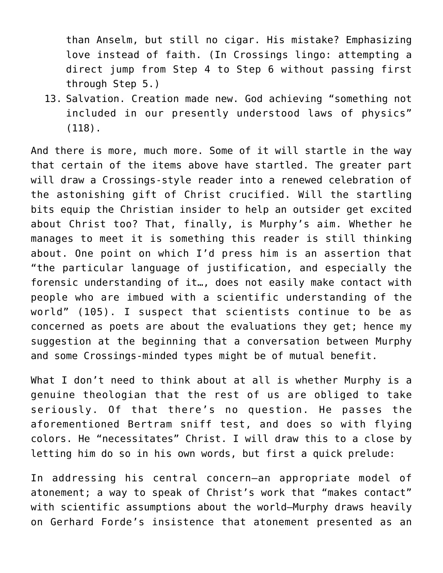than Anselm, but still no cigar. His mistake? Emphasizing love instead of faith. (In Crossings lingo: attempting a direct jump from Step 4 to Step 6 without passing first through Step 5.)

13. Salvation. Creation made new. God achieving "something not included in our presently understood laws of physics" (118).

And there is more, much more. Some of it will startle in the way that certain of the items above have startled. The greater part will draw a Crossings-style reader into a renewed celebration of the astonishing gift of Christ crucified. Will the startling bits equip the Christian insider to help an outsider get excited about Christ too? That, finally, is Murphy's aim. Whether he manages to meet it is something this reader is still thinking about. One point on which I'd press him is an assertion that "the particular language of justification, and especially the forensic understanding of it…, does not easily make contact with people who are imbued with a scientific understanding of the world" (105). I suspect that scientists continue to be as concerned as poets are about the evaluations they get; hence my suggestion at the beginning that a conversation between Murphy and some Crossings-minded types might be of mutual benefit.

What I don't need to think about at all is whether Murphy is a genuine theologian that the rest of us are obliged to take seriously. Of that there's no question. He passes the aforementioned Bertram sniff test, and does so with flying colors. He "necessitates" Christ. I will draw this to a close by letting him do so in his own words, but first a quick prelude:

In addressing his central concern—an appropriate model of atonement; a way to speak of Christ's work that "makes contact" with scientific assumptions about the world—Murphy draws heavily on Gerhard Forde's insistence that atonement presented as an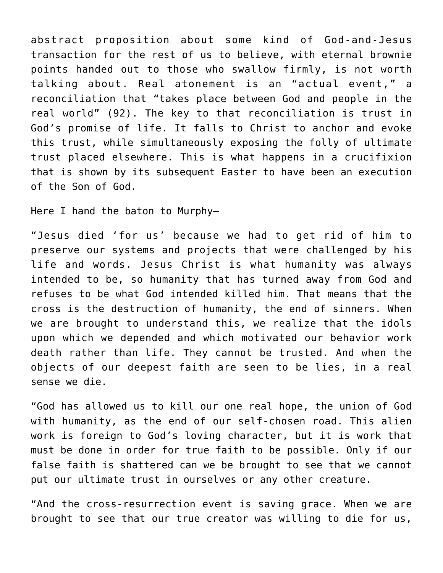abstract proposition about some kind of God-and-Jesus transaction for the rest of us to believe, with eternal brownie points handed out to those who swallow firmly, is not worth talking about. Real atonement is an "actual event," a reconciliation that "takes place between God and people in the real world" (92). The key to that reconciliation is trust in God's promise of life. It falls to Christ to anchor and evoke this trust, while simultaneously exposing the folly of ultimate trust placed elsewhere. This is what happens in a crucifixion that is shown by its subsequent Easter to have been an execution of the Son of God.

Here I hand the baton to Murphy—

"Jesus died 'for us' because we had to get rid of him to preserve our systems and projects that were challenged by his life and words. Jesus Christ is what humanity was always intended to be, so humanity that has turned away from God and refuses to be what God intended killed him. That means that the cross is the destruction of humanity, the end of sinners. When we are brought to understand this, we realize that the idols upon which we depended and which motivated our behavior work death rather than life. They cannot be trusted. And when the objects of our deepest faith are seen to be lies, in a real sense we die.

"God has allowed us to kill our one real hope, the union of God with humanity, as the end of our self-chosen road. This alien work is foreign to God's loving character, but it is work that must be done in order for true faith to be possible. Only if our false faith is shattered can we be brought to see that we cannot put our ultimate trust in ourselves or any other creature.

"And the cross-resurrection event is saving grace. When we are brought to see that our true creator was willing to die for us,